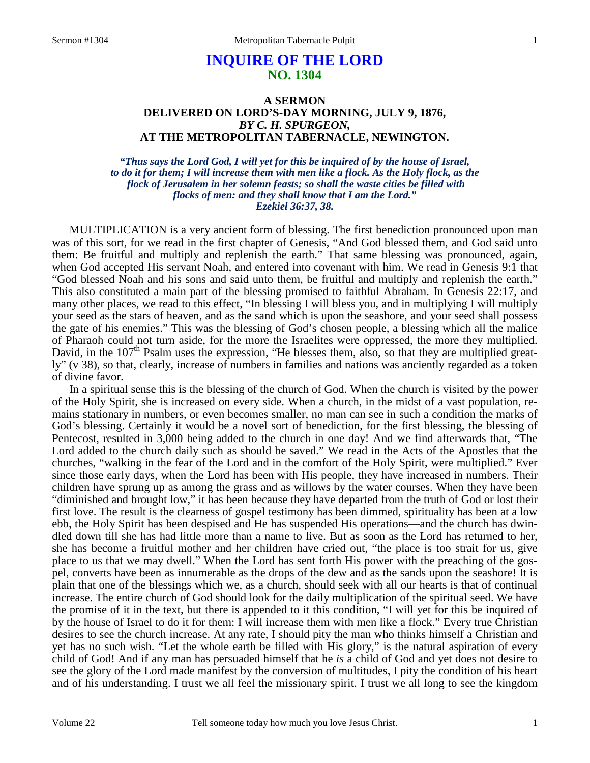# **INQUIRE OF THE LORD NO. 1304**

# **A SERMON DELIVERED ON LORD'S-DAY MORNING, JULY 9, 1876,**  *BY C. H. SPURGEON,*  **AT THE METROPOLITAN TABERNACLE, NEWINGTON.**

*"Thus says the Lord God, I will yet for this be inquired of by the house of Israel, to do it for them; I will increase them with men like a flock. As the Holy flock, as the flock of Jerusalem in her solemn feasts; so shall the waste cities be filled with flocks of men: and they shall know that I am the Lord." Ezekiel 36:37, 38.* 

MULTIPLICATION is a very ancient form of blessing. The first benediction pronounced upon man was of this sort, for we read in the first chapter of Genesis, "And God blessed them, and God said unto them: Be fruitful and multiply and replenish the earth." That same blessing was pronounced, again, when God accepted His servant Noah, and entered into covenant with him. We read in Genesis 9:1 that "God blessed Noah and his sons and said unto them, be fruitful and multiply and replenish the earth." This also constituted a main part of the blessing promised to faithful Abraham. In Genesis 22:17, and many other places, we read to this effect, "In blessing I will bless you, and in multiplying I will multiply your seed as the stars of heaven, and as the sand which is upon the seashore, and your seed shall possess the gate of his enemies." This was the blessing of God's chosen people, a blessing which all the malice of Pharaoh could not turn aside, for the more the Israelites were oppressed, the more they multiplied. David, in the  $107<sup>th</sup>$  Psalm uses the expression, "He blesses them, also, so that they are multiplied greatly" (v 38), so that, clearly, increase of numbers in families and nations was anciently regarded as a token of divine favor.

 In a spiritual sense this is the blessing of the church of God. When the church is visited by the power of the Holy Spirit, she is increased on every side. When a church, in the midst of a vast population, remains stationary in numbers, or even becomes smaller, no man can see in such a condition the marks of God's blessing. Certainly it would be a novel sort of benediction, for the first blessing, the blessing of Pentecost, resulted in 3,000 being added to the church in one day! And we find afterwards that, "The Lord added to the church daily such as should be saved." We read in the Acts of the Apostles that the churches, "walking in the fear of the Lord and in the comfort of the Holy Spirit, were multiplied." Ever since those early days, when the Lord has been with His people, they have increased in numbers. Their children have sprung up as among the grass and as willows by the water courses. When they have been "diminished and brought low," it has been because they have departed from the truth of God or lost their first love. The result is the clearness of gospel testimony has been dimmed, spirituality has been at a low ebb, the Holy Spirit has been despised and He has suspended His operations—and the church has dwindled down till she has had little more than a name to live. But as soon as the Lord has returned to her, she has become a fruitful mother and her children have cried out, "the place is too strait for us, give place to us that we may dwell." When the Lord has sent forth His power with the preaching of the gospel, converts have been as innumerable as the drops of the dew and as the sands upon the seashore! It is plain that one of the blessings which we, as a church, should seek with all our hearts is that of continual increase. The entire church of God should look for the daily multiplication of the spiritual seed. We have the promise of it in the text, but there is appended to it this condition, "I will yet for this be inquired of by the house of Israel to do it for them: I will increase them with men like a flock." Every true Christian desires to see the church increase. At any rate, I should pity the man who thinks himself a Christian and yet has no such wish. "Let the whole earth be filled with His glory," is the natural aspiration of every child of God! And if any man has persuaded himself that he *is* a child of God and yet does not desire to see the glory of the Lord made manifest by the conversion of multitudes, I pity the condition of his heart and of his understanding. I trust we all feel the missionary spirit. I trust we all long to see the kingdom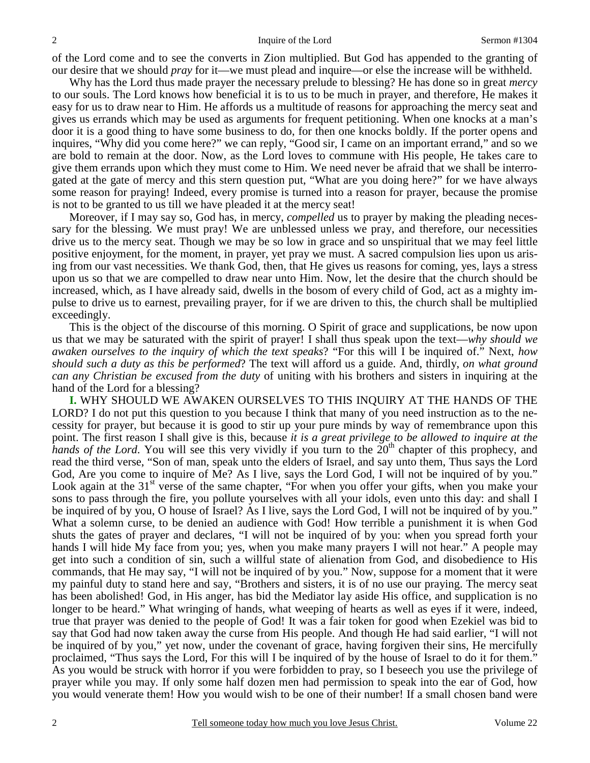of the Lord come and to see the converts in Zion multiplied. But God has appended to the granting of our desire that we should *pray* for it—we must plead and inquire—or else the increase will be withheld.

 Why has the Lord thus made prayer the necessary prelude to blessing? He has done so in great *mercy* to our souls. The Lord knows how beneficial it is to us to be much in prayer, and therefore, He makes it easy for us to draw near to Him. He affords us a multitude of reasons for approaching the mercy seat and gives us errands which may be used as arguments for frequent petitioning. When one knocks at a man's door it is a good thing to have some business to do, for then one knocks boldly. If the porter opens and inquires, "Why did you come here?" we can reply, "Good sir, I came on an important errand," and so we are bold to remain at the door. Now, as the Lord loves to commune with His people, He takes care to give them errands upon which they must come to Him. We need never be afraid that we shall be interrogated at the gate of mercy and this stern question put, "What are you doing here?" for we have always some reason for praying! Indeed, every promise is turned into a reason for prayer, because the promise is not to be granted to us till we have pleaded it at the mercy seat!

 Moreover, if I may say so, God has, in mercy, *compelled* us to prayer by making the pleading necessary for the blessing. We must pray! We are unblessed unless we pray, and therefore, our necessities drive us to the mercy seat. Though we may be so low in grace and so unspiritual that we may feel little positive enjoyment, for the moment, in prayer, yet pray we must. A sacred compulsion lies upon us arising from our vast necessities. We thank God, then, that He gives us reasons for coming, yes, lays a stress upon us so that we are compelled to draw near unto Him. Now, let the desire that the church should be increased, which, as I have already said, dwells in the bosom of every child of God, act as a mighty impulse to drive us to earnest, prevailing prayer, for if we are driven to this, the church shall be multiplied exceedingly.

 This is the object of the discourse of this morning. O Spirit of grace and supplications, be now upon us that we may be saturated with the spirit of prayer! I shall thus speak upon the text—*why should we awaken ourselves to the inquiry of which the text speaks*? "For this will I be inquired of." Next, *how should such a duty as this be performed*? The text will afford us a guide. And, thirdly, *on what ground can any Christian be excused from the duty* of uniting with his brothers and sisters in inquiring at the hand of the Lord for a blessing?

**I.** WHY SHOULD WE AWAKEN OURSELVES TO THIS INQUIRY AT THE HANDS OF THE LORD? I do not put this question to you because I think that many of you need instruction as to the necessity for prayer, but because it is good to stir up your pure minds by way of remembrance upon this point. The first reason I shall give is this, because *it is a great privilege to be allowed to inquire at the hands of the Lord*. You will see this very vividly if you turn to the 20<sup>th</sup> chapter of this prophecy, and read the third verse, "Son of man, speak unto the elders of Israel, and say unto them, Thus says the Lord God, Are you come to inquire of Me? As I live, says the Lord God, I will not be inquired of by you." Look again at the  $31<sup>st</sup>$  verse of the same chapter, "For when you offer your gifts, when you make your sons to pass through the fire, you pollute yourselves with all your idols, even unto this day: and shall I be inquired of by you, O house of Israel? As I live, says the Lord God, I will not be inquired of by you." What a solemn curse, to be denied an audience with God! How terrible a punishment it is when God shuts the gates of prayer and declares, "I will not be inquired of by you: when you spread forth your hands I will hide My face from you; yes, when you make many prayers I will not hear." A people may get into such a condition of sin, such a willful state of alienation from God, and disobedience to His commands, that He may say, "I will not be inquired of by you." Now, suppose for a moment that it were my painful duty to stand here and say, "Brothers and sisters, it is of no use our praying. The mercy seat has been abolished! God, in His anger, has bid the Mediator lay aside His office, and supplication is no longer to be heard." What wringing of hands, what weeping of hearts as well as eyes if it were, indeed, true that prayer was denied to the people of God! It was a fair token for good when Ezekiel was bid to say that God had now taken away the curse from His people. And though He had said earlier, "I will not be inquired of by you," yet now, under the covenant of grace, having forgiven their sins, He mercifully proclaimed, "Thus says the Lord, For this will I be inquired of by the house of Israel to do it for them." As you would be struck with horror if you were forbidden to pray, so I beseech you use the privilege of prayer while you may. If only some half dozen men had permission to speak into the ear of God, how you would venerate them! How you would wish to be one of their number! If a small chosen band were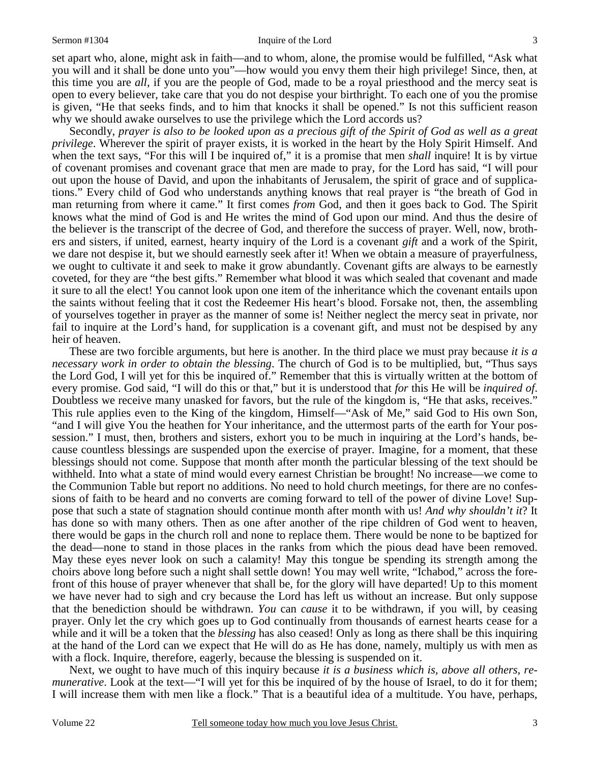#### Sermon #1304 Inquire of the Lord

set apart who, alone, might ask in faith—and to whom, alone, the promise would be fulfilled, "Ask what you will and it shall be done unto you"—how would you envy them their high privilege! Since, then, at this time you are *all*, if you are the people of God, made to be a royal priesthood and the mercy seat is open to every believer, take care that you do not despise your birthright. To each one of you the promise is given, "He that seeks finds, and to him that knocks it shall be opened." Is not this sufficient reason why we should awake ourselves to use the privilege which the Lord accords us?

 Secondly, *prayer is also to be looked upon as a precious gift of the Spirit of God as well as a great privilege*. Wherever the spirit of prayer exists, it is worked in the heart by the Holy Spirit Himself. And when the text says, "For this will I be inquired of," it is a promise that men *shall* inquire! It is by virtue of covenant promises and covenant grace that men are made to pray, for the Lord has said, "I will pour out upon the house of David, and upon the inhabitants of Jerusalem, the spirit of grace and of supplications." Every child of God who understands anything knows that real prayer is "the breath of God in man returning from where it came." It first comes *from* God, and then it goes back to God. The Spirit knows what the mind of God is and He writes the mind of God upon our mind. And thus the desire of the believer is the transcript of the decree of God, and therefore the success of prayer. Well, now, brothers and sisters, if united, earnest, hearty inquiry of the Lord is a covenant *gift* and a work of the Spirit, we dare not despise it, but we should earnestly seek after it! When we obtain a measure of prayerfulness, we ought to cultivate it and seek to make it grow abundantly. Covenant gifts are always to be earnestly coveted, for they are "the best gifts." Remember what blood it was which sealed that covenant and made it sure to all the elect! You cannot look upon one item of the inheritance which the covenant entails upon the saints without feeling that it cost the Redeemer His heart's blood. Forsake not, then, the assembling of yourselves together in prayer as the manner of some is! Neither neglect the mercy seat in private, nor fail to inquire at the Lord's hand, for supplication is a covenant gift, and must not be despised by any heir of heaven.

 These are two forcible arguments, but here is another. In the third place we must pray because *it is a necessary work in order to obtain the blessing*. The church of God is to be multiplied, but, "Thus says the Lord God, I will yet for this be inquired of." Remember that this is virtually written at the bottom of every promise. God said, "I will do this or that," but it is understood that *for* this He will be *inquired of*. Doubtless we receive many unasked for favors, but the rule of the kingdom is, "He that asks, receives." This rule applies even to the King of the kingdom, Himself—"Ask of Me," said God to His own Son, "and I will give You the heathen for Your inheritance, and the uttermost parts of the earth for Your possession." I must, then, brothers and sisters, exhort you to be much in inquiring at the Lord's hands, because countless blessings are suspended upon the exercise of prayer. Imagine, for a moment, that these blessings should not come. Suppose that month after month the particular blessing of the text should be withheld. Into what a state of mind would every earnest Christian be brought! No increase—we come to the Communion Table but report no additions. No need to hold church meetings, for there are no confessions of faith to be heard and no converts are coming forward to tell of the power of divine Love! Suppose that such a state of stagnation should continue month after month with us! *And why shouldn't it*? It has done so with many others. Then as one after another of the ripe children of God went to heaven, there would be gaps in the church roll and none to replace them. There would be none to be baptized for the dead—none to stand in those places in the ranks from which the pious dead have been removed. May these eyes never look on such a calamity! May this tongue be spending its strength among the choirs above long before such a night shall settle down! You may well write, "Ichabod," across the forefront of this house of prayer whenever that shall be, for the glory will have departed! Up to this moment we have never had to sigh and cry because the Lord has left us without an increase. But only suppose that the benediction should be withdrawn. *You* can *cause* it to be withdrawn, if you will, by ceasing prayer. Only let the cry which goes up to God continually from thousands of earnest hearts cease for a while and it will be a token that the *blessing* has also ceased! Only as long as there shall be this inquiring at the hand of the Lord can we expect that He will do as He has done, namely, multiply us with men as with a flock. Inquire, therefore, eagerly, because the blessing is suspended on it.

 Next, we ought to have much of this inquiry because *it is a business which is, above all others, remunerative*. Look at the text—"I will yet for this be inquired of by the house of Israel, to do it for them; I will increase them with men like a flock." That is a beautiful idea of a multitude. You have, perhaps,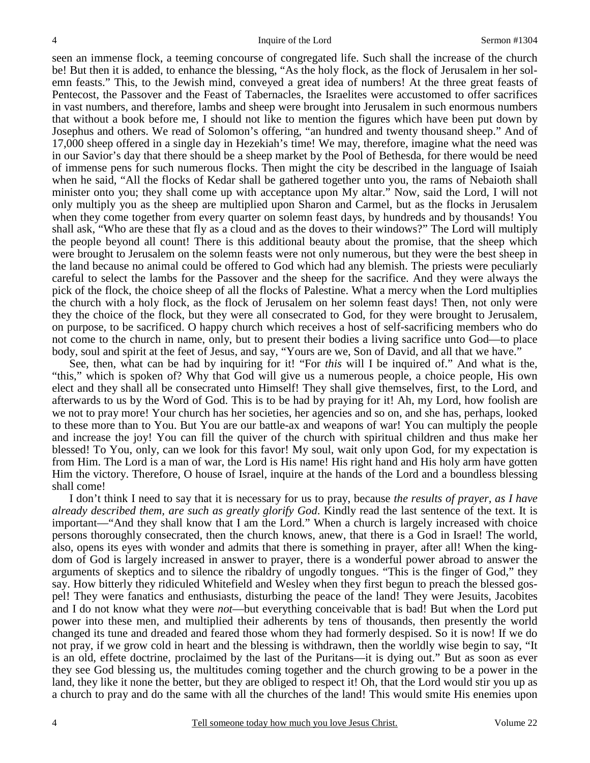seen an immense flock, a teeming concourse of congregated life. Such shall the increase of the church be! But then it is added, to enhance the blessing, "As the holy flock, as the flock of Jerusalem in her solemn feasts." This, to the Jewish mind, conveyed a great idea of numbers! At the three great feasts of Pentecost, the Passover and the Feast of Tabernacles, the Israelites were accustomed to offer sacrifices in vast numbers, and therefore, lambs and sheep were brought into Jerusalem in such enormous numbers that without a book before me, I should not like to mention the figures which have been put down by Josephus and others. We read of Solomon's offering, "an hundred and twenty thousand sheep." And of 17,000 sheep offered in a single day in Hezekiah's time! We may, therefore, imagine what the need was in our Savior's day that there should be a sheep market by the Pool of Bethesda, for there would be need of immense pens for such numerous flocks. Then might the city be described in the language of Isaiah when he said, "All the flocks of Kedar shall be gathered together unto you, the rams of Nebaioth shall minister onto you; they shall come up with acceptance upon My altar." Now, said the Lord, I will not only multiply you as the sheep are multiplied upon Sharon and Carmel, but as the flocks in Jerusalem when they come together from every quarter on solemn feast days, by hundreds and by thousands! You shall ask, "Who are these that fly as a cloud and as the doves to their windows?" The Lord will multiply the people beyond all count! There is this additional beauty about the promise, that the sheep which were brought to Jerusalem on the solemn feasts were not only numerous, but they were the best sheep in the land because no animal could be offered to God which had any blemish. The priests were peculiarly careful to select the lambs for the Passover and the sheep for the sacrifice. And they were always the pick of the flock, the choice sheep of all the flocks of Palestine. What a mercy when the Lord multiplies the church with a holy flock, as the flock of Jerusalem on her solemn feast days! Then, not only were they the choice of the flock, but they were all consecrated to God, for they were brought to Jerusalem, on purpose, to be sacrificed. O happy church which receives a host of self-sacrificing members who do not come to the church in name, only, but to present their bodies a living sacrifice unto God—to place body, soul and spirit at the feet of Jesus, and say, "Yours are we, Son of David, and all that we have."

 See, then, what can be had by inquiring for it! "For *this* will I be inquired of." And what is the, "this," which is spoken of? Why that God will give us a numerous people, a choice people, His own elect and they shall all be consecrated unto Himself! They shall give themselves, first, to the Lord, and afterwards to us by the Word of God. This is to be had by praying for it! Ah, my Lord, how foolish are we not to pray more! Your church has her societies, her agencies and so on, and she has, perhaps, looked to these more than to You. But You are our battle-ax and weapons of war! You can multiply the people and increase the joy! You can fill the quiver of the church with spiritual children and thus make her blessed! To You, only, can we look for this favor! My soul, wait only upon God, for my expectation is from Him. The Lord is a man of war, the Lord is His name! His right hand and His holy arm have gotten Him the victory. Therefore, O house of Israel, inquire at the hands of the Lord and a boundless blessing shall come!

 I don't think I need to say that it is necessary for us to pray, because *the results of prayer, as I have already described them, are such as greatly glorify God*. Kindly read the last sentence of the text. It is important—"And they shall know that I am the Lord." When a church is largely increased with choice persons thoroughly consecrated, then the church knows, anew, that there is a God in Israel! The world, also, opens its eyes with wonder and admits that there is something in prayer, after all! When the kingdom of God is largely increased in answer to prayer, there is a wonderful power abroad to answer the arguments of skeptics and to silence the ribaldry of ungodly tongues. "This is the finger of God," they say. How bitterly they ridiculed Whitefield and Wesley when they first begun to preach the blessed gospel! They were fanatics and enthusiasts, disturbing the peace of the land! They were Jesuits, Jacobites and I do not know what they were *not*—but everything conceivable that is bad! But when the Lord put power into these men, and multiplied their adherents by tens of thousands, then presently the world changed its tune and dreaded and feared those whom they had formerly despised. So it is now! If we do not pray, if we grow cold in heart and the blessing is withdrawn, then the worldly wise begin to say, "It is an old, effete doctrine, proclaimed by the last of the Puritans—it is dying out." But as soon as ever they see God blessing us, the multitudes coming together and the church growing to be a power in the land, they like it none the better, but they are obliged to respect it! Oh, that the Lord would stir you up as a church to pray and do the same with all the churches of the land! This would smite His enemies upon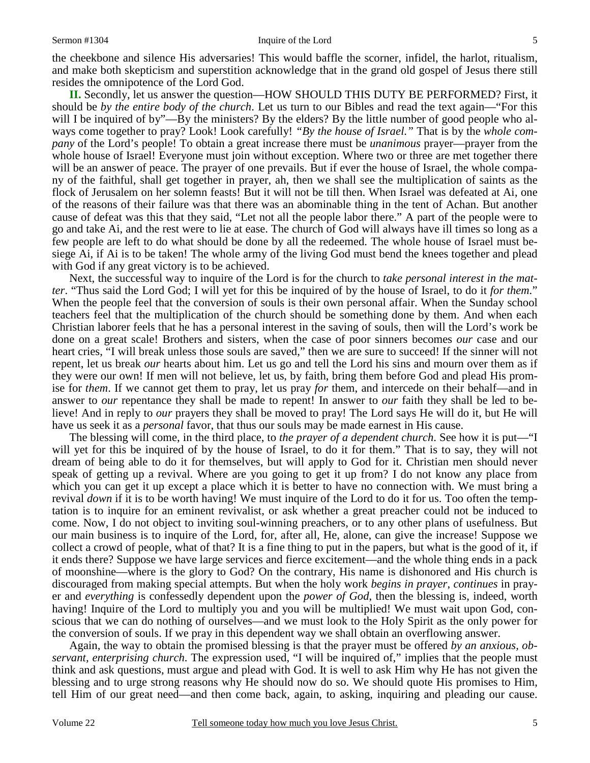**II.** Secondly, let us answer the question—HOW SHOULD THIS DUTY BE PERFORMED? First, it should be *by the entire body of the church*. Let us turn to our Bibles and read the text again—"For this will I be inquired of by"—By the ministers? By the elders? By the little number of good people who always come together to pray? Look! Look carefully! *"By the house of Israel."* That is by the *whole company* of the Lord's people! To obtain a great increase there must be *unanimous* prayer—prayer from the whole house of Israel! Everyone must join without exception. Where two or three are met together there will be an answer of peace. The prayer of one prevails. But if ever the house of Israel, the whole company of the faithful, shall get together in prayer, ah, then we shall see the multiplication of saints as the flock of Jerusalem on her solemn feasts! But it will not be till then. When Israel was defeated at Ai, one of the reasons of their failure was that there was an abominable thing in the tent of Achan. But another cause of defeat was this that they said, "Let not all the people labor there." A part of the people were to go and take Ai, and the rest were to lie at ease. The church of God will always have ill times so long as a few people are left to do what should be done by all the redeemed. The whole house of Israel must besiege Ai, if Ai is to be taken! The whole army of the living God must bend the knees together and plead with God if any great victory is to be achieved.

 Next, the successful way to inquire of the Lord is for the church to *take personal interest in the matter*. "Thus said the Lord God; I will yet for this be inquired of by the house of Israel, to do it *for them*." When the people feel that the conversion of souls is their own personal affair. When the Sunday school teachers feel that the multiplication of the church should be something done by them. And when each Christian laborer feels that he has a personal interest in the saving of souls, then will the Lord's work be done on a great scale! Brothers and sisters, when the case of poor sinners becomes *our* case and our heart cries, "I will break unless those souls are saved," then we are sure to succeed! If the sinner will not repent, let us break *our* hearts about him. Let us go and tell the Lord his sins and mourn over them as if they were our own! If men will not believe, let us, by faith, bring them before God and plead His promise for *them*. If we cannot get them to pray, let us pray *for* them, and intercede on their behalf—and in answer to *our* repentance they shall be made to repent! In answer to *our* faith they shall be led to believe! And in reply to *our* prayers they shall be moved to pray! The Lord says He will do it, but He will have us seek it as a *personal* favor, that thus our souls may be made earnest in His cause.

 The blessing will come, in the third place, to *the prayer of a dependent church*. See how it is put—"I will yet for this be inquired of by the house of Israel, to do it for them." That is to say, they will not dream of being able to do it for themselves, but will apply to God for it. Christian men should never speak of getting up a revival. Where are you going to get it up from? I do not know any place from which you can get it up except a place which it is better to have no connection with. We must bring a revival *down* if it is to be worth having! We must inquire of the Lord to do it for us. Too often the temptation is to inquire for an eminent revivalist, or ask whether a great preacher could not be induced to come. Now, I do not object to inviting soul-winning preachers, or to any other plans of usefulness. But our main business is to inquire of the Lord, for, after all, He, alone, can give the increase! Suppose we collect a crowd of people, what of that? It is a fine thing to put in the papers, but what is the good of it, if it ends there? Suppose we have large services and fierce excitement—and the whole thing ends in a pack of moonshine—where is the glory to God? On the contrary, His name is dishonored and His church is discouraged from making special attempts. But when the holy work *begins in prayer*, *continues* in prayer and *everything* is confessedly dependent upon the *power of God*, then the blessing is, indeed, worth having! Inquire of the Lord to multiply you and you will be multiplied! We must wait upon God, conscious that we can do nothing of ourselves—and we must look to the Holy Spirit as the only power for the conversion of souls. If we pray in this dependent way we shall obtain an overflowing answer.

 Again, the way to obtain the promised blessing is that the prayer must be offered *by an anxious, observant, enterprising church*. The expression used, "I will be inquired of," implies that the people must think and ask questions, must argue and plead with God. It is well to ask Him why He has not given the blessing and to urge strong reasons why He should now do so. We should quote His promises to Him, tell Him of our great need—and then come back, again, to asking, inquiring and pleading our cause.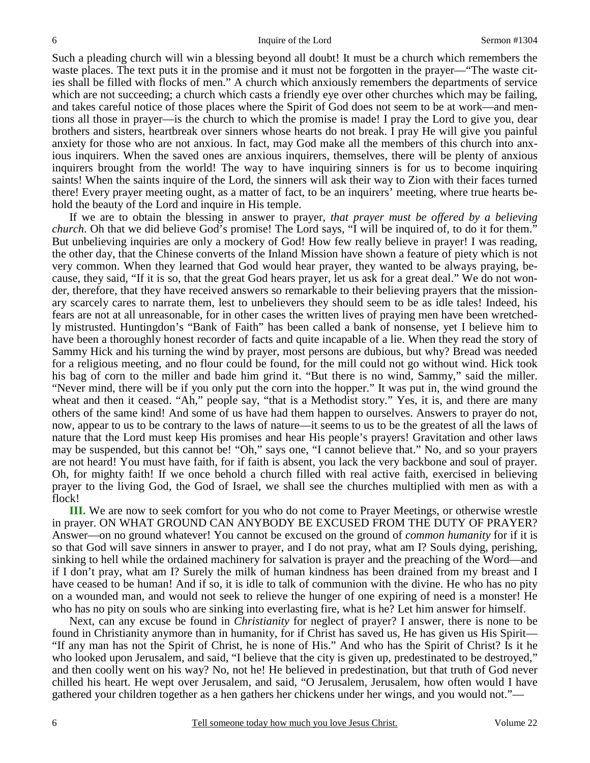Such a pleading church will win a blessing beyond all doubt! It must be a church which remembers the waste places. The text puts it in the promise and it must not be forgotten in the prayer—"The waste cities shall be filled with flocks of men." A church which anxiously remembers the departments of service which are not succeeding; a church which casts a friendly eye over other churches which may be failing, and takes careful notice of those places where the Spirit of God does not seem to be at work—and mentions all those in prayer—is the church to which the promise is made! I pray the Lord to give you, dear brothers and sisters, heartbreak over sinners whose hearts do not break. I pray He will give you painful anxiety for those who are not anxious. In fact, may God make all the members of this church into anxious inquirers. When the saved ones are anxious inquirers, themselves, there will be plenty of anxious inquirers brought from the world! The way to have inquiring sinners is for us to become inquiring saints! When the saints inquire of the Lord, the sinners will ask their way to Zion with their faces turned there! Every prayer meeting ought, as a matter of fact, to be an inquirers' meeting, where true hearts behold the beauty of the Lord and inquire in His temple.

 If we are to obtain the blessing in answer to prayer, *that prayer must be offered by a believing church*. Oh that we did believe God's promise! The Lord says, "I will be inquired of, to do it for them." But unbelieving inquiries are only a mockery of God! How few really believe in prayer! I was reading, the other day, that the Chinese converts of the Inland Mission have shown a feature of piety which is not very common. When they learned that God would hear prayer, they wanted to be always praying, because, they said, "If it is so, that the great God hears prayer, let us ask for a great deal." We do not wonder, therefore, that they have received answers so remarkable to their believing prayers that the missionary scarcely cares to narrate them, lest to unbelievers they should seem to be as idle tales! Indeed, his fears are not at all unreasonable, for in other cases the written lives of praying men have been wretchedly mistrusted. Huntingdon's "Bank of Faith" has been called a bank of nonsense, yet I believe him to have been a thoroughly honest recorder of facts and quite incapable of a lie. When they read the story of Sammy Hick and his turning the wind by prayer, most persons are dubious, but why? Bread was needed for a religious meeting, and no flour could be found, for the mill could not go without wind. Hick took his bag of corn to the miller and bade him grind it. "But there is no wind, Sammy," said the miller. "Never mind, there will be if you only put the corn into the hopper." It was put in, the wind ground the wheat and then it ceased. "Ah," people say, "that is a Methodist story." Yes, it is, and there are many others of the same kind! And some of us have had them happen to ourselves. Answers to prayer do not, now, appear to us to be contrary to the laws of nature—it seems to us to be the greatest of all the laws of nature that the Lord must keep His promises and hear His people's prayers! Gravitation and other laws may be suspended, but this cannot be! "Oh," says one, "I cannot believe that." No, and so your prayers are not heard! You must have faith, for if faith is absent, you lack the very backbone and soul of prayer. Oh, for mighty faith! If we once behold a church filled with real active faith, exercised in believing prayer to the living God, the God of Israel, we shall see the churches multiplied with men as with a flock!

**III.** We are now to seek comfort for you who do not come to Prayer Meetings, or otherwise wrestle in prayer. ON WHAT GROUND CAN ANYBODY BE EXCUSED FROM THE DUTY OF PRAYER? Answer—on no ground whatever! You cannot be excused on the ground of *common humanity* for if it is so that God will save sinners in answer to prayer, and I do not pray, what am I? Souls dying, perishing, sinking to hell while the ordained machinery for salvation is prayer and the preaching of the Word—and if I don't pray, what am I? Surely the milk of human kindness has been drained from my breast and I have ceased to be human! And if so, it is idle to talk of communion with the divine. He who has no pity on a wounded man, and would not seek to relieve the hunger of one expiring of need is a monster! He who has no pity on souls who are sinking into everlasting fire, what is he? Let him answer for himself.

 Next, can any excuse be found in *Christianity* for neglect of prayer? I answer, there is none to be found in Christianity anymore than in humanity, for if Christ has saved us, He has given us His Spirit— "If any man has not the Spirit of Christ, he is none of His." And who has the Spirit of Christ? Is it he who looked upon Jerusalem, and said, "I believe that the city is given up, predestinated to be destroyed," and then coolly went on his way? No, not he! He believed in predestination, but that truth of God never chilled his heart. He wept over Jerusalem, and said, "O Jerusalem, Jerusalem, how often would I have gathered your children together as a hen gathers her chickens under her wings, and you would not."—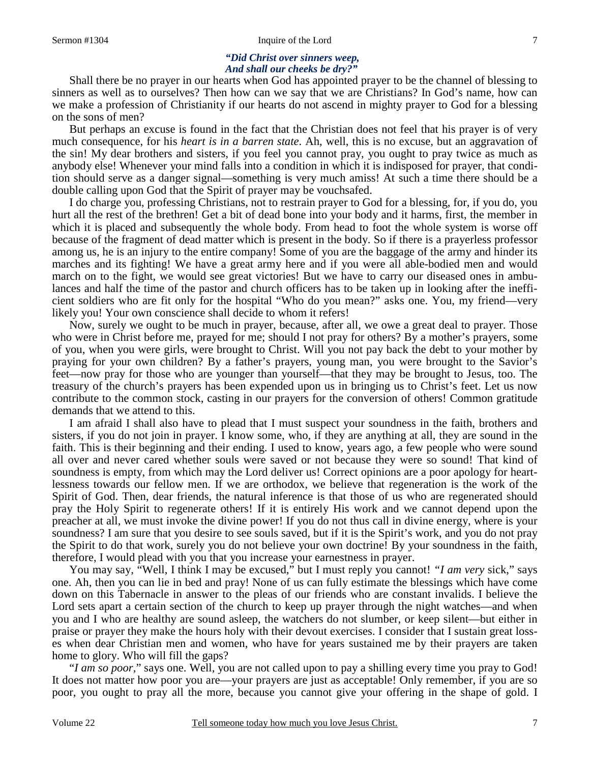#### *"Did Christ over sinners weep, And shall our cheeks be dry?"*

Shall there be no prayer in our hearts when God has appointed prayer to be the channel of blessing to sinners as well as to ourselves? Then how can we say that we are Christians? In God's name, how can we make a profession of Christianity if our hearts do not ascend in mighty prayer to God for a blessing on the sons of men?

 But perhaps an excuse is found in the fact that the Christian does not feel that his prayer is of very much consequence, for his *heart is in a barren state*. Ah, well, this is no excuse, but an aggravation of the sin! My dear brothers and sisters, if you feel you cannot pray, you ought to pray twice as much as anybody else! Whenever your mind falls into a condition in which it is indisposed for prayer, that condition should serve as a danger signal—something is very much amiss! At such a time there should be a double calling upon God that the Spirit of prayer may be vouchsafed.

 I do charge you, professing Christians, not to restrain prayer to God for a blessing, for, if you do, you hurt all the rest of the brethren! Get a bit of dead bone into your body and it harms, first, the member in which it is placed and subsequently the whole body. From head to foot the whole system is worse off because of the fragment of dead matter which is present in the body. So if there is a prayerless professor among us, he is an injury to the entire company! Some of you are the baggage of the army and hinder its marches and its fighting! We have a great army here and if you were all able-bodied men and would march on to the fight, we would see great victories! But we have to carry our diseased ones in ambulances and half the time of the pastor and church officers has to be taken up in looking after the inefficient soldiers who are fit only for the hospital "Who do you mean?" asks one. You, my friend—very likely you! Your own conscience shall decide to whom it refers!

 Now, surely we ought to be much in prayer, because, after all, we owe a great deal to prayer. Those who were in Christ before me, prayed for me; should I not pray for others? By a mother's prayers, some of you, when you were girls, were brought to Christ. Will you not pay back the debt to your mother by praying for your own children? By a father's prayers, young man, you were brought to the Savior's feet—now pray for those who are younger than yourself—that they may be brought to Jesus, too. The treasury of the church's prayers has been expended upon us in bringing us to Christ's feet. Let us now contribute to the common stock, casting in our prayers for the conversion of others! Common gratitude demands that we attend to this.

 I am afraid I shall also have to plead that I must suspect your soundness in the faith, brothers and sisters, if you do not join in prayer. I know some, who, if they are anything at all, they are sound in the faith. This is their beginning and their ending. I used to know, years ago, a few people who were sound all over and never cared whether souls were saved or not because they were so sound! That kind of soundness is empty, from which may the Lord deliver us! Correct opinions are a poor apology for heartlessness towards our fellow men. If we are orthodox, we believe that regeneration is the work of the Spirit of God. Then, dear friends, the natural inference is that those of us who are regenerated should pray the Holy Spirit to regenerate others! If it is entirely His work and we cannot depend upon the preacher at all, we must invoke the divine power! If you do not thus call in divine energy, where is your soundness? I am sure that you desire to see souls saved, but if it is the Spirit's work, and you do not pray the Spirit to do that work, surely you do not believe your own doctrine! By your soundness in the faith, therefore, I would plead with you that you increase your earnestness in prayer.

 You may say, "Well, I think I may be excused," but I must reply you cannot! *"I am very* sick," says one. Ah, then you can lie in bed and pray! None of us can fully estimate the blessings which have come down on this Tabernacle in answer to the pleas of our friends who are constant invalids. I believe the Lord sets apart a certain section of the church to keep up prayer through the night watches—and when you and I who are healthy are sound asleep, the watchers do not slumber, or keep silent—but either in praise or prayer they make the hours holy with their devout exercises. I consider that I sustain great losses when dear Christian men and women, who have for years sustained me by their prayers are taken home to glory. Who will fill the gaps?

 "*I am so poor*," says one. Well, you are not called upon to pay a shilling every time you pray to God! It does not matter how poor you are—your prayers are just as acceptable! Only remember, if you are so poor, you ought to pray all the more, because you cannot give your offering in the shape of gold. I